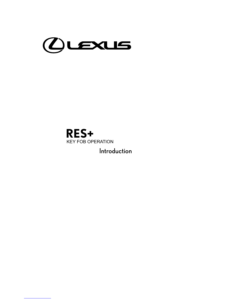

Introduction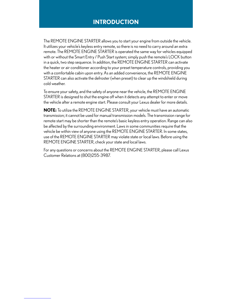#### **INTRODUCTION**

The REMOTE ENGINE STARTER allows you to start your engine from outside the vehicle. It utilizes your vehicle's keyless entry remote, so there is no need to carry around an extra remote. The REMOTE ENGINE STARTER is operated the same way for vehicles equipped with or without the Smart Entry / Push Start system; simply push the remote's LOCK button in a quick, two step sequence. In addition, the REMOTE ENGINE STARTER can activate the heater or air conditioner according to your preset temperature controls, providing you with a comfortable cabin upon entry. As an added convenience, the REMOTE ENGINE STARTER can also activate the defroster (when preset) to clear up the windshield during cold weather.

To ensure your safety, and the safety of anyone near the vehicle, the REMOTE ENGINE STARTER is designed to shut the engine off when it detects any attempt to enter or move the vehicle after a remote engine start. Please consult your Lexus dealer for more details.

**NOTE:** To utilize the REMOTE ENGINE STARTER, your vehicle must have an automatic transmission; it cannot be used for manual transmission models. The transmission range for remote start may be shorter than the remote's basic keyless entry operation. Range can also be affected by the surrounding environment. Laws in some communities require that the vehicle be within view of anyone using the REMOTE ENGINE STARTER. In some states, use of the REMOTE ENGINE STARTER may violate state or local laws. Before using the REMOTE ENGINE STARTER, check your state and local laws.

For any questions or concerns about the REMOTE ENGINE STARTER, please call Lexus Customer Relations at (800)255-3987.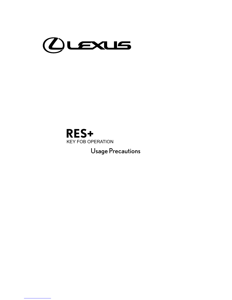

Usage Precautions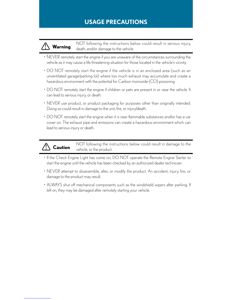#### **USAGE PRECAUTIONS**

**Warning** NOT following the instructions below could result in serious injury, death, and/or damage to the vehicle.

- • NEVER remotely start the engine if you are unaware of the circumstances surrounding the vehicle as it may cause a life threatening situation for those located in the vehicle's vicinity.
- DO NOT remotely start the engine if the vehicle is in an enclosed area (such as an unventilated garage/parking lot) where too much exhaust may accumulate and create a hazardous environment with the potential for Carbon monoxide (CO) poisoning.
- DO NOT remotely start the engine if children or pets are present in or near the vehicle. It can lead to serious injury, or death.
- NEVER use product, or product packaging for purposes other than originally intended. Doing so could result in damage to the unit, fire, or injury/death.
- DO NOT remotely start the engine when it is near flammable substances and/or has a car cover on. The exhaust pipe and emissions can create a hazardous environment which can lead to serious injury or death.

**Caution** NOT following the instructions below could result in damage to the vehicle, or the product.

- If the Check Engine Light has come on, DO NOT operate the Remote Engine Starter to start the engine until the vehicle has been checked by an authorized dealer technician.
- • NEVER attempt to disassemble, alter, or modify the product. An accident, injury, fire, or damage to the product may result.
- ALWAYS shut off mechanical components such as the windshield wipers after parking. If left on, they may be damaged after remotely starting your vehicle.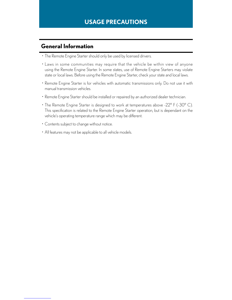#### **General Information**

- The Remote Engine Starter should only be used by licensed drivers.
- Laws in some communities may require that the vehicle be within view of anyone using the Remote Engine Starter. In some states, use of Remote Engine Starters may violate state or local laws. Before using the Remote Engine Starter, check your state and local laws.
- Remote Engine Starter is for vehicles with automatic transmissions only. Do not use it with manual transmission vehicles.
- Remote Engine Starter should be installed or repaired by an authorized dealer technician.
- The Remote Engine Starter is designed to work at temperatures above -22° F (-30° C). This specification is related to the Remote Engine Starter operation, but is dependant on the vehicle's operating temperature range which may be different.
- Contents subject to change without notice.
- All features may not be applicable to all vehicle models.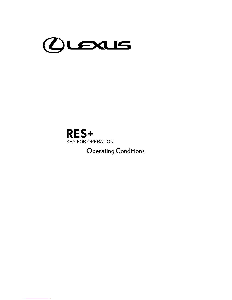

Operating Conditions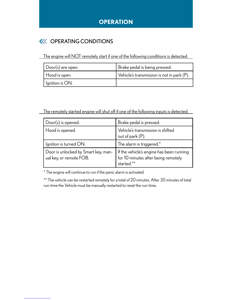#### **OPERATION**

#### **KK OPERATING CONDITIONS**

The engine will NOT remotely start if one of the following conditions is detected.

| Door(s) are open. | Brake pedal is being pressed.              |
|-------------------|--------------------------------------------|
| Hood is open.     | Vehicle's transmission is not in park (P). |
| Ignition is ON.   |                                            |

The remotely started engine will shut off if one of the following inputs is detected.

| Door(s) is opened.                                             | Brake pedal is pressed.                                                                         |
|----------------------------------------------------------------|-------------------------------------------------------------------------------------------------|
| Hood is opened.                                                | Vehicle's transmission is shifted<br>out of park (P).                                           |
| Ignition is turned ON.                                         | The alarm is triggered.*                                                                        |
| Door is unlocked by Smart key, man-<br>ual key, or remote FOB. | If the vehicle's engine has been running<br>  for 10 minutes after being remotely<br>started.** |

\* The engine will continue to run if the panic alarm is activated.

\*\* The vehicle can be restarted remotely for a total of 20 minutes. After 20 minutes of total run-time the Vehicle must be manually restarted to reset the run-time.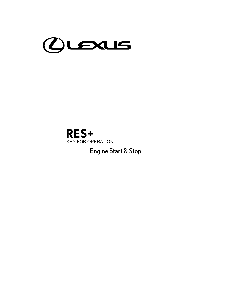

Engine Start & Stop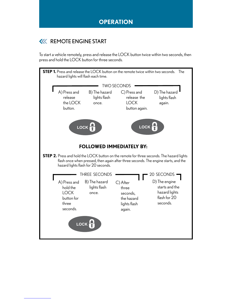#### **KK REMOTE ENGINE START**

To start a vehicle remotely, press and release the LOCK button twice within two seconds, then press and hold the LOCK button for three seconds.

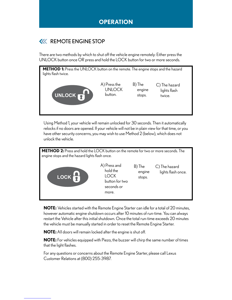#### **KK REMOTE ENGINE STOP**

There are two methods by which to shut off the vehicle engine remotely: Either press the UNLOCK button once OR press and hold the LOCK button for two or more seconds.



Using Method 1, your vehicle will remain unlocked for 30 seconds. Then it automatically relocks if no doors are opened. If your vehicle will not be in plain view for that time, or you have other security concerns, you may wish to use Method 2 (below), which does not unlock the vehicle.



**NOTE:** Vehicles started with the Remote Engine Starter can idle for a total of 20 minutes, however automatic engine shutdown occurs after 10 minutes of run-time. You can always restart the Vehicle after this initial shutdown. Once the total run-time exceeds 20 minutes the vehicle must be manually started in order to reset the Remote Engine Starter.

**NOTE:** All doors will remain locked after the engine is shut off.

**NOTE:** For vehicles equipped with Piezo, the buzzer will chirp the same number of times that the light flashes.

For any questions or concerns about the Remote Engine Starter, please call Lexus Customer Relations at (800) 255-3987.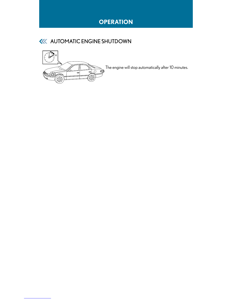### **OPERATION**



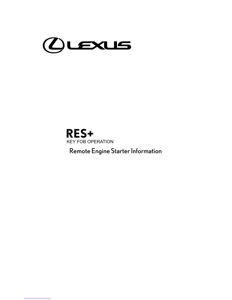**RES+** KEY FOB OPERATION

Remote Engine Starter Information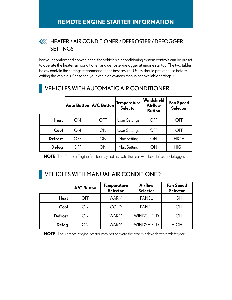#### HEATER / AIR CONDITIONER / DEFROSTER / DEFOGGER **SETTINGS**

For your comfort and convenience, the vehicle's air conditioning system controls can be preset to operate the heater, air conditioner, and defroster/defogger at engine startup. The two tables below contain the settings recommended for best results. Users should preset these before exiting the vehicle. (Please see your vehicle's owner's manual for available settings.)

|                | Auto Button   A/C Button |            | <b>Temperature</b><br><b>Selector</b> | Windshield<br><b>Airflow</b><br><b>Button</b> | <b>Fan Speed</b><br><b>Selector</b> |
|----------------|--------------------------|------------|---------------------------------------|-----------------------------------------------|-------------------------------------|
| <b>Heat</b>    | ON                       | <b>OFF</b> | User Settings                         | OFF                                           | OFF                                 |
| Cool           | ON                       | <b>ON</b>  | User Settings                         | <b>OFF</b>                                    | OFF                                 |
| <b>Defrost</b> | OFF                      | ON         | Max Setting                           | ON                                            | <b>HIGH</b>                         |
| Defog          | OFF                      | ON         | Max Setting                           | ON                                            | <b>HIGH</b>                         |

### VEHICLES WITH AUTOMATIC AIR CONDITIONER

**NOTE:** The Remote Engine Starter may not activate the rear window defroster/defogger.

### VEHICLES WITH MANUAL AIR CONDITIONER

|                | <b>A/C Button</b> | Temperature<br><b>Selector</b> | Airflow<br><b>Selector</b> | <b>Fan Speed</b><br><b>Selector</b> |
|----------------|-------------------|--------------------------------|----------------------------|-------------------------------------|
| <b>Heat</b>    | OFF               | <b>WARM</b>                    | <b>PANEL</b>               | <b>HIGH</b>                         |
| Cool           | ON                | <b>COLD</b>                    | <b>PANEL</b>               | <b>HIGH</b>                         |
| <b>Defrost</b> | ΟN                | <b>WARM</b>                    | WINDSHIELD                 | <b>HIGH</b>                         |
| Defog          | ON                | WARM                           | WINDSHIELD                 | <b>HIGH</b>                         |

**NOTE:** The Remote Engine Starter may not activate the rear window defroster/defogger.